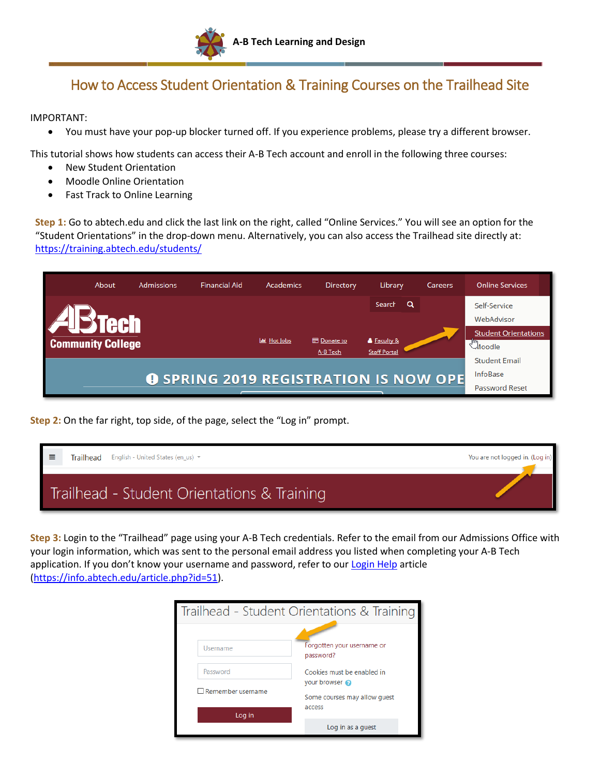

## How to Access Student Orientation & Training Courses on the Trailhead Site

IMPORTANT:

You must have your pop-up blocker turned off. If you experience problems, please try a different browser.

This tutorial shows how students can access their A-B Tech account and enroll in the following three courses:

- New Student Orientation
- Moodle Online Orientation
- Fast Track to Online Learning

**Step 1:** Go to abtech.edu and click the last link on the right, called "Online Services." You will see an option for the "Student Orientations" in the drop-down menu. Alternatively, you can also access the Trailhead site directly at: <https://training.abtech.edu/students/>

|                                              | About                    | <b>Admissions</b> | <b>Financial Aid</b> | Academics           | Directory          | Library                            | Careers    | <b>Online Services</b>      |
|----------------------------------------------|--------------------------|-------------------|----------------------|---------------------|--------------------|------------------------------------|------------|-----------------------------|
|                                              |                          |                   |                      |                     |                    | Search                             | Q          | Self-Service                |
|                                              |                          |                   |                      |                     |                    |                                    | WebAdvisor |                             |
|                                              |                          |                   |                      | <b>Lat</b> Hot Jobs | <b>E</b> Donate to |                                    |            | <b>Student Orientations</b> |
|                                              | <b>Community College</b> |                   |                      |                     | A-B Tech           | & Faculty &<br><b>Staff Portal</b> |            | $\mathbb{C}$ Moodle         |
|                                              |                          |                   |                      |                     |                    |                                    |            | <b>Student Email</b>        |
| <b>O SPRING 2019 REGISTRATION IS NOW OPE</b> |                          |                   |                      |                     |                    | InfoBase                           |            |                             |
|                                              |                          |                   |                      |                     |                    |                                    |            | <b>Password Reset</b>       |

**Step 2:** On the far right, top side, of the page, select the "Log in" prompt.

| $\equiv$ | Trailhead | English - United States (en us) $\blacktriangledown$ | You are not logged in. (Log in) |
|----------|-----------|------------------------------------------------------|---------------------------------|
|          |           | Trailhead - Student Orientations & Training          |                                 |

**Step 3:** Login to the "Trailhead" page using your A-B Tech credentials. Refer to the email from our Admissions Office with your login information, which was sent to the personal email address you listed when completing your A-B Tech application. If you don't know your username and password, refer to our [Login Help](https://info.abtech.edu/article.php?id=51) article [\(https://info.abtech.edu/article.php?id=51\)](https://info.abtech.edu/article.php?id=51).

| Trailhead - Student Orientations & Training |                                                        |  |  |  |  |
|---------------------------------------------|--------------------------------------------------------|--|--|--|--|
| Username                                    | Forgotten your username or<br>password?                |  |  |  |  |
| Password                                    | Cookies must be enabled in                             |  |  |  |  |
| $\Box$ Remember username                    | vour browser<br>Some courses may allow quest<br>access |  |  |  |  |
| Log in                                      |                                                        |  |  |  |  |
|                                             | Log in as a quest                                      |  |  |  |  |